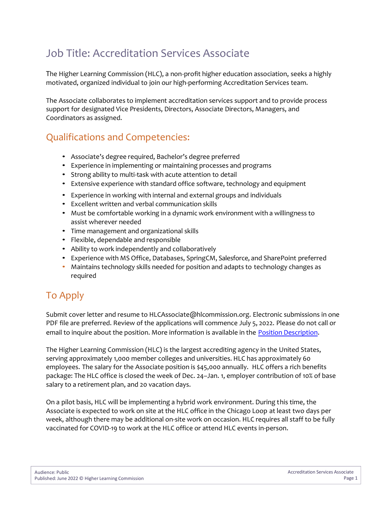## Job Title: Accreditation Services Associate

The Higher Learning Commission (HLC), a non-profit higher education association, seeks a highly motivated, organized individual to join our high-performing Accreditation Services team.

The Associate collaborates to implement accreditation services support and to provide process support for designated Vice Presidents, Directors, Associate Directors, Managers, and Coordinators as assigned.

## Qualifications and Competencies:

- Associate's degree required, Bachelor's degree preferred
- Experience in implementing or maintaining processes and programs
- Strong ability to multi-task with acute attention to detail
- Extensive experience with standard office software, technology and equipment
- Experience in working with internal and external groups and individuals
- Excellent written and verbal communication skills
- Must be comfortable working in a dynamic work environment with a willingness to assist wherever needed
- Time management and organizational skills
- Flexible, dependable and responsible
- Ability to work independently and collaboratively
- Experience with MS Office, Databases, SpringCM, Salesforce, and SharePoint preferred
- Maintains technology skills needed for position and adapts to technology changes as required

## To Apply

Submit cover letter and resume to HLCAssociate@hlcommission.org. Electronic submissions in one PDF file are preferred. Review of the applications will commence July 5, 2022. Please do not call or email to inquire about the position. More information is available in the [Position Description](https://download.hlcommission.org/employment/ACCS%20Accreditation%20Services%20Associate.pdf).

The Higher Learning Commission (HLC) is the largest accrediting agency in the United States, serving approximately 1,000 member colleges and universities. HLC has approximately 60 employees. The salary for the Associate position is \$45,000 annually. HLC offers a rich benefits package: The HLC office is closed the week of Dec. 24–Jan. 1, employer contribution of 10% of base salary to a retirement plan, and 20 vacation days.

On a pilot basis, HLC will be implementing a hybrid work environment. During this time, the Associate is expected to work on site at the HLC office in the Chicago Loop at least two days per week, although there may be additional on-site work on occasion. HLC requires all staff to be fully vaccinated for COVID-19 to work at the HLC office or attend HLC events in-person.